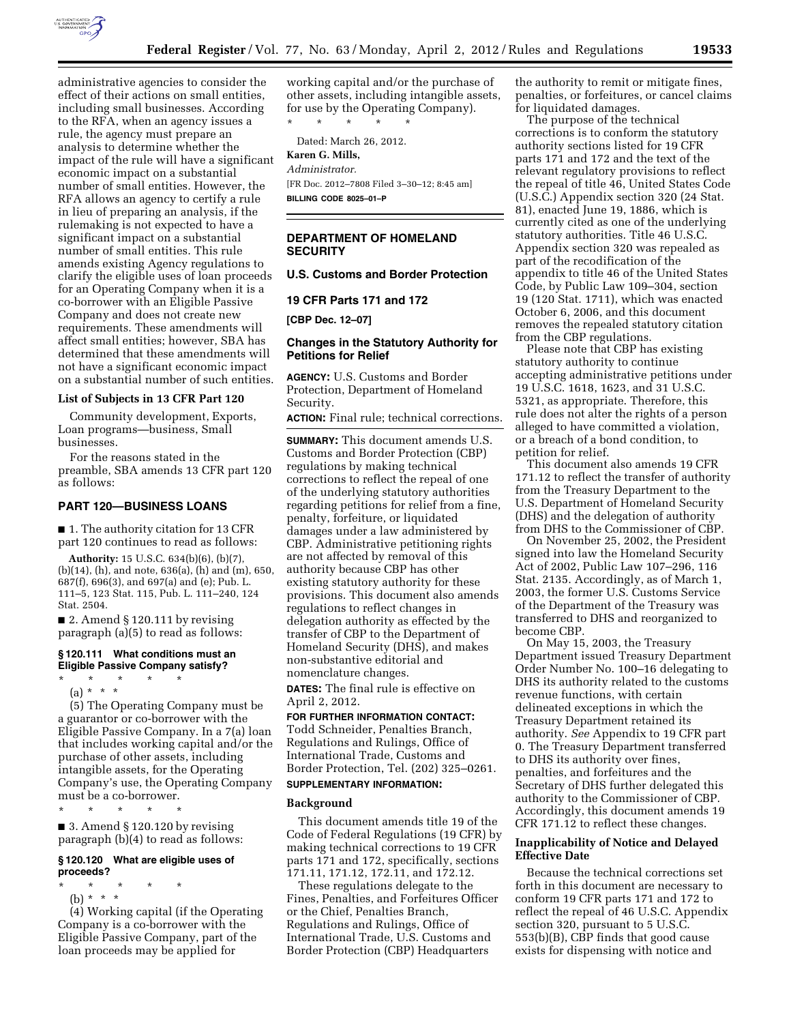

administrative agencies to consider the effect of their actions on small entities, including small businesses. According to the RFA, when an agency issues a rule, the agency must prepare an analysis to determine whether the impact of the rule will have a significant economic impact on a substantial number of small entities. However, the RFA allows an agency to certify a rule in lieu of preparing an analysis, if the rulemaking is not expected to have a significant impact on a substantial number of small entities. This rule amends existing Agency regulations to clarify the eligible uses of loan proceeds for an Operating Company when it is a co-borrower with an Eligible Passive Company and does not create new requirements. These amendments will affect small entities; however, SBA has determined that these amendments will not have a significant economic impact on a substantial number of such entities.

# **List of Subjects in 13 CFR Part 120**

Community development, Exports, Loan programs—business, Small businesses.

For the reasons stated in the preamble, SBA amends 13 CFR part 120 as follows:

### **PART 120—BUSINESS LOANS**

■ 1. The authority citation for 13 CFR part 120 continues to read as follows:

**Authority:** 15 U.S.C. 634(b)(6), (b)(7), (b)(14), (h), and note, 636(a), (h) and (m), 650, 687(f), 696(3), and 697(a) and (e); Pub. L. 111–5, 123 Stat. 115, Pub. L. 111–240, 124 Stat. 2504.

 $\blacksquare$  2. Amend § 120.111 by revising paragraph (a)(5) to read as follows:

# **§ 120.111 What conditions must an Eligible Passive Company satisfy?**

- \* \* \* \* \*
	- (a) \* \* \*

(5) The Operating Company must be a guarantor or co-borrower with the Eligible Passive Company. In a 7(a) loan that includes working capital and/or the purchase of other assets, including intangible assets, for the Operating Company's use, the Operating Company must be a co-borrower.

\* \* \* \* \* ■ 3. Amend § 120.120 by revising paragraph (b)(4) to read as follows:

## **§ 120.120 What are eligible uses of proceeds?**

\* \* \* \* \*

(b) \* \* \* (4) Working capital (if the Operating Company is a co-borrower with the Eligible Passive Company, part of the loan proceeds may be applied for

working capital and/or the purchase of other assets, including intangible assets, for use by the Operating Company).

\* \* \* \* \*

Dated: March 26, 2012.

# **Karen G. Mills,**

*Administrator.*  [FR Doc. 2012–7808 Filed 3–30–12; 8:45 am] **BILLING CODE 8025–01–P** 

### **DEPARTMENT OF HOMELAND SECURITY**

# **U.S. Customs and Border Protection**

**19 CFR Parts 171 and 172** 

**[CBP Dec. 12–07]** 

## **Changes in the Statutory Authority for Petitions for Relief**

**AGENCY:** U.S. Customs and Border Protection, Department of Homeland Security.

**ACTION:** Final rule; technical corrections.

**SUMMARY:** This document amends U.S. Customs and Border Protection (CBP) regulations by making technical corrections to reflect the repeal of one of the underlying statutory authorities regarding petitions for relief from a fine, penalty, forfeiture, or liquidated damages under a law administered by CBP. Administrative petitioning rights are not affected by removal of this authority because CBP has other existing statutory authority for these provisions. This document also amends regulations to reflect changes in delegation authority as effected by the transfer of CBP to the Department of Homeland Security (DHS), and makes non-substantive editorial and nomenclature changes.

**DATES:** The final rule is effective on April 2, 2012.

**FOR FURTHER INFORMATION CONTACT:**  Todd Schneider, Penalties Branch, Regulations and Rulings, Office of International Trade, Customs and Border Protection, Tel. (202) 325–0261.

# **SUPPLEMENTARY INFORMATION:**

#### **Background**

This document amends title 19 of the Code of Federal Regulations (19 CFR) by making technical corrections to 19 CFR parts 171 and 172, specifically, sections 171.11, 171.12, 172.11, and 172.12.

These regulations delegate to the Fines, Penalties, and Forfeitures Officer or the Chief, Penalties Branch, Regulations and Rulings, Office of International Trade, U.S. Customs and Border Protection (CBP) Headquarters

the authority to remit or mitigate fines, penalties, or forfeitures, or cancel claims for liquidated damages.

The purpose of the technical corrections is to conform the statutory authority sections listed for 19 CFR parts 171 and 172 and the text of the relevant regulatory provisions to reflect the repeal of title 46, United States Code (U.S.C.) Appendix section 320 (24 Stat. 81), enacted June 19, 1886, which is currently cited as one of the underlying statutory authorities. Title 46 U.S.C. Appendix section 320 was repealed as part of the recodification of the appendix to title 46 of the United States Code, by Public Law 109–304, section 19 (120 Stat. 1711), which was enacted October 6, 2006, and this document removes the repealed statutory citation from the CBP regulations.

Please note that CBP has existing statutory authority to continue accepting administrative petitions under 19 U.S.C. 1618, 1623, and 31 U.S.C. 5321, as appropriate. Therefore, this rule does not alter the rights of a person alleged to have committed a violation, or a breach of a bond condition, to petition for relief.

This document also amends 19 CFR 171.12 to reflect the transfer of authority from the Treasury Department to the U.S. Department of Homeland Security (DHS) and the delegation of authority from DHS to the Commissioner of CBP.

On November 25, 2002, the President signed into law the Homeland Security Act of 2002, Public Law 107–296, 116 Stat. 2135. Accordingly, as of March 1, 2003, the former U.S. Customs Service of the Department of the Treasury was transferred to DHS and reorganized to become CBP.

On May 15, 2003, the Treasury Department issued Treasury Department Order Number No. 100–16 delegating to DHS its authority related to the customs revenue functions, with certain delineated exceptions in which the Treasury Department retained its authority. *See* Appendix to 19 CFR part 0. The Treasury Department transferred to DHS its authority over fines, penalties, and forfeitures and the Secretary of DHS further delegated this authority to the Commissioner of CBP. Accordingly, this document amends 19 CFR 171.12 to reflect these changes.

# **Inapplicability of Notice and Delayed Effective Date**

Because the technical corrections set forth in this document are necessary to conform 19 CFR parts 171 and 172 to reflect the repeal of 46 U.S.C. Appendix section 320, pursuant to 5 U.S.C. 553(b)(B), CBP finds that good cause exists for dispensing with notice and